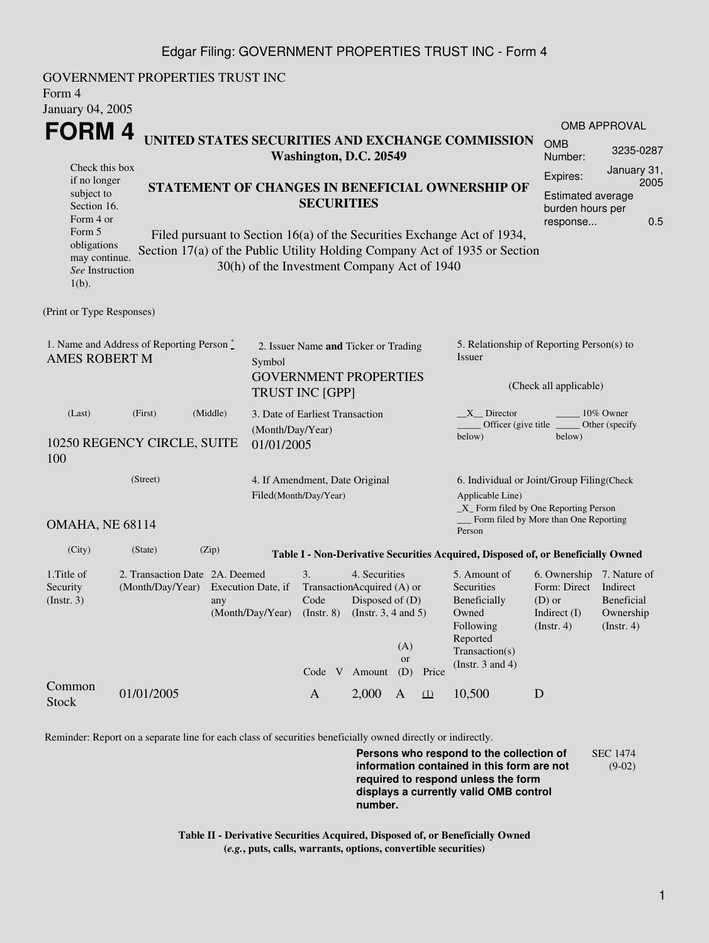## Edgar Filing: GOVERNMENT PROPERTIES TRUST INC - Form 4

GOVERNMENT PROPERTIES TRUST INC Form 4 January 04, 2005 **FORM 4** Check this box if no longer subject to Section 16. Form 4 or Form 5 obligations may continue. *See* Instruction  $1(h)$ . **UNITED STATES SECURITIES AND EXCHANGE COMMISSION Washington, D.C. 20549 STATEMENT OF CHANGES IN BENEFICIAL OWNERSHIP OF SECURITIES** Filed pursuant to Section 16(a) of the Securities Exchange Act of 1934, Section 17(a) of the Public Utility Holding Company Act of 1935 or Section 30(h) of the Investment Company Act of 1940 OMB APPROVAL OMB Number: 3235-0287 Expires: January 31, 2005 Estimated average burden hours per response... 0.5 (Print or Type Responses) 1. Name and Address of Reporting Person  $\degree$ AMES ROBERT M 2. Issuer Name **and** Ticker or Trading Symbol GOVERNMENT PROPERTIES TRUST INC [GPP] 5. Relationship of Reporting Person(s) to Issuer (Check all applicable) \_X\_\_ Director \_\_\_\_\_\_\_\_ 10% Owner Officer (give title below) Other (specify below) (Last) (First) (Middle) 10250 REGENCY CIRCLE, SUITE 100 3. Date of Earliest Transaction (Month/Day/Year) 01/01/2005 (Street) OMAHA, NE 68114 4. If Amendment, Date Original Filed(Month/Day/Year) 6. Individual or Joint/Group Filing(Check Applicable Line) \_X\_ Form filed by One Reporting Person Form filed by More than One Reporting Person (City) (State) (Zip) **Table I - Non-Derivative Securities Acquired, Disposed of, or Beneficially Owned** 1.Title of Security (Instr. 3) 2. Transaction Date 2A. Deemed (Month/Day/Year) Execution Date, if any (Month/Day/Year) 3. Transaction Acquired (A) or Code (Instr. 8) 4. Securities Disposed of (D) (Instr. 3, 4 and 5) 5. Amount of **Securities** Beneficially Owned Following Reported Transaction(s) (Instr. 3 and 4) 6. Ownership 7. Nature of Form: Direct Indirect (D) or Indirect (I) (Instr. 4) Beneficial Ownership (Instr. 4) Code V Amount  $(A)$ or (D) Price Common Stock 01/01/2005 A 2,000 A <u>(1)</u> 10,500 D<br>Stock

Reminder: Report on a separate line for each class of securities beneficially owned directly or indirectly.

**Persons who respond to the collection of information contained in this form are not required to respond unless the form displays a currently valid OMB control number.** SEC 1474 (9-02)

**Table II - Derivative Securities Acquired, Disposed of, or Beneficially Owned (***e.g.***, puts, calls, warrants, options, convertible securities)**